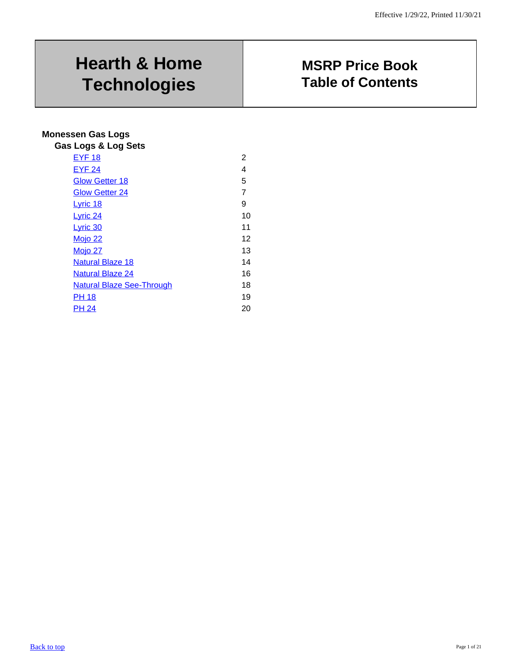## <span id="page-0-0"></span>**Hearth & Home Technologies**

## **MSRP Price Book Table of Contents**

## **Monessen Gas Logs**

## **Gas Logs & Log Sets**

| <b>EYF 18</b>                    | 2  |
|----------------------------------|----|
| <b>EYF 24</b>                    | 4  |
| <b>Glow Getter 18</b>            | 5  |
| <b>Glow Getter 24</b>            | 7  |
| Lyric 18                         | 9  |
| <b>Lyric 24</b>                  | 10 |
| Lyric 30                         | 11 |
| <u>Moio 22</u>                   | 12 |
| Mojo 27                          | 13 |
| <b>Natural Blaze 18</b>          | 14 |
| <b>Natural Blaze 24</b>          | 16 |
| <b>Natural Blaze See-Through</b> | 18 |
| <b>PH 18</b>                     | 19 |
| <b>PH 24</b>                     | 20 |
|                                  |    |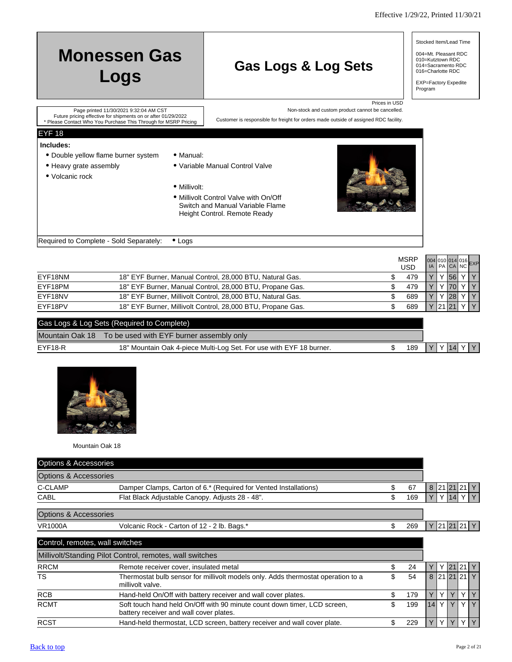<span id="page-1-0"></span>**Monessen Gas Logs Gas Logs & Log Sets** Stocked Item/Lead Time 004=Mt. Pleasant RDC 010=Kutztown RDC 014=Sacramento RDC 016=Charlotte RDC EXP=Factory Expedite Program Prices in USD Page printed 11/30/2021 9:32:04 AM CST Future pricing effective for shipments on or after 01/29/2022 \* Please Contact Who You Purchase This Through for MSRP Pricing Non-stock and custom product cannot be cancelled. Customer is responsible for freight for orders made outside of assigned RDC facility. EYF 18 **Includes:** • Double yellow flame burner system • Manual: • Heavy grate assembly • Variable Manual Control Valve Volcanic rock Millivolt: Millivolt Control Valve with On/Off Switch and Manual Variable Flame Height Control. Remote Ready Required to Complete - Sold Separately: . Logs

|         |                                                             | <b>MSRP</b><br>USD |  |       | 004 010 014 016 EXP |
|---------|-------------------------------------------------------------|--------------------|--|-------|---------------------|
| EYF18NM | 18" EYF Burner, Manual Control, 28,000 BTU, Natural Gas.    | 479                |  | 56    |                     |
| EYF18PM | 18" EYF Burner, Manual Control, 28,000 BTU, Propane Gas.    | 479                |  | 70    | VIV                 |
| EYF18NV | 18" EYF Burner, Millivolt Control, 28,000 BTU, Natural Gas. | 689                |  | 28    |                     |
| EYF18PV | 18" EYF Burner, Millivolt Control, 28,000 BTU, Propane Gas. | 689                |  | 21 21 |                     |

|         | Gas Logs & Log Sets (Required to Complete)                          |     |                       |
|---------|---------------------------------------------------------------------|-----|-----------------------|
|         | Mountain Oak 18 To be used with EYF burner assembly only            |     |                       |
| EYF18-R | 18" Mountain Oak 4-piece Multi-Log Set. For use with EYF 18 burner. | 189 | $'$ Y 14 Y $'$ Y $_1$ |



Mountain Oak 18

| <b>Options &amp; Accessories</b> |                                                                                                                     |     |     |   |         |            |                |              |
|----------------------------------|---------------------------------------------------------------------------------------------------------------------|-----|-----|---|---------|------------|----------------|--------------|
| <b>Options &amp; Accessories</b> |                                                                                                                     |     |     |   |         |            |                |              |
| C-CLAMP                          | Damper Clamps, Carton of 6.* (Required for Vented Installations)                                                    | \$. | 67  |   | 8 21 21 |            | 121            |              |
| CABL                             | Flat Black Adjustable Canopy. Adjusts 28 - 48".                                                                     | \$  | 169 | Y |         | Y 14 Y Y   |                |              |
| <b>Options &amp; Accessories</b> |                                                                                                                     |     |     |   |         |            |                |              |
| <b>VR1000A</b>                   | Volcanic Rock - Carton of 12 - 2 lb. Bags.*                                                                         | \$  | 269 |   |         | Y 21 21 21 |                |              |
| Control, remotes, wall switches  |                                                                                                                     |     |     |   |         |            |                |              |
|                                  | Millivolt/Standing Pilot Control, remotes, wall switches                                                            |     |     |   |         |            |                |              |
| <b>RRCM</b>                      | Remote receiver cover, insulated metal                                                                              | \$  | 24  |   |         | 12121 Y    |                |              |
| тs                               | Thermostat bulb sensor for millivolt models only. Adds thermostat operation to a<br>millivolt valve.                | \$  | 54  |   |         |            |                | 8 21 21 21 Y |
| <b>RCB</b>                       | Hand-held On/Off with battery receiver and wall cover plates.                                                       | \$  | 179 |   | Υ       |            | Y              | Y            |
| <b>RCMT</b>                      | Soft touch hand held On/Off with 90 minute count down timer, LCD screen,<br>battery receiver and wall cover plates. | \$  | 199 |   | $14$ Y  | Y          | Y <sub>1</sub> | $\mathsf{Y}$ |
| <b>RCST</b>                      | Hand-held thermostat, LCD screen, battery receiver and wall cover plate.                                            | \$  | 229 |   |         |            |                |              |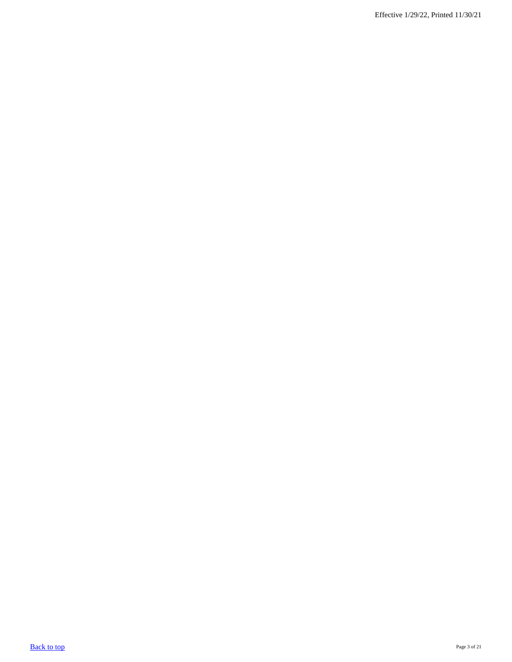Effective 1/29/22, Printed 11/30/21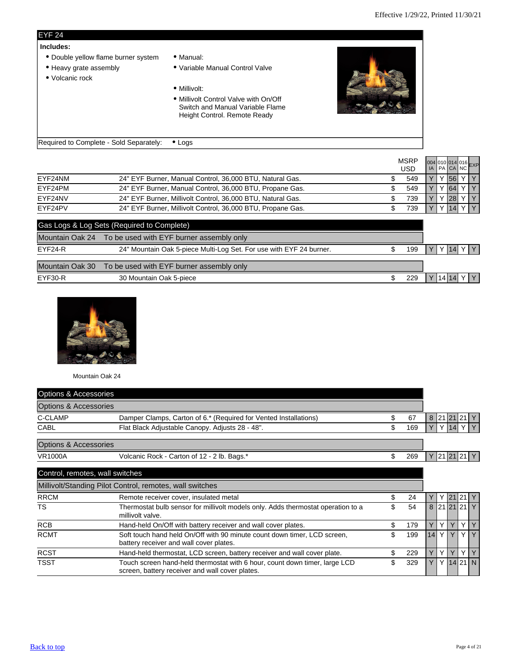<span id="page-3-0"></span>

| <b>EYF 24</b><br>Includes:<br>• Double yellow flame burner system<br>• Heavy grate assembly<br>• Volcanic rock | • Manual:<br>• Variable Manual Control Valve<br>• Millivolt:<br>• Millivolt Control Valve with On/Off<br>Switch and Manual Variable Flame<br>Height Control. Remote Ready |                           |                                  |
|----------------------------------------------------------------------------------------------------------------|---------------------------------------------------------------------------------------------------------------------------------------------------------------------------|---------------------------|----------------------------------|
| Required to Complete - Sold Separately:                                                                        | $\bullet$ Logs                                                                                                                                                            |                           |                                  |
|                                                                                                                |                                                                                                                                                                           | <b>MSRP</b><br><b>USD</b> | 004 010 014 016 EXP<br>IA PACANC |

|         |                                                             | שטט |  | .               |  |
|---------|-------------------------------------------------------------|-----|--|-----------------|--|
| EYF24NM | 24" EYF Burner, Manual Control, 36,000 BTU, Natural Gas.    | 549 |  | 56              |  |
| EYF24PM | 24" EYF Burner, Manual Control, 36,000 BTU, Propane Gas.    | 549 |  | 64              |  |
| EYF24NV | 24" EYF Burner, Millivolt Control, 36,000 BTU, Natural Gas. | 739 |  | 28              |  |
| EYF24PV | 24" EYF Burner, Millivolt Control, 36,000 BTU, Propane Gas. | 739 |  | $\overline{14}$ |  |
|         |                                                             |     |  |                 |  |

|         | Gas Logs & Log Sets (Required to Complete)                          |     |            |
|---------|---------------------------------------------------------------------|-----|------------|
|         | Mountain Oak 24 To be used with EYF burner assembly only            |     |            |
| EYF24-R | 24" Mountain Oak 5-piece Multi-Log Set. For use with EYF 24 burner. | 199 | $14$ Y Y   |
|         | Mountain Oak 30 To be used with EYF burner assembly only            |     |            |
| EYF30-R | 30 Mountain Oak 5-piece                                             | 229 | $1414$ Y Y |



Mountain Oak 24

| <b>Options &amp; Accessories</b> |                                                                                                                               |           |    |              |         |    |              |
|----------------------------------|-------------------------------------------------------------------------------------------------------------------------------|-----------|----|--------------|---------|----|--------------|
| <b>Options &amp; Accessories</b> |                                                                                                                               |           |    |              |         |    |              |
| C-CLAMP                          | Damper Clamps, Carton of 6.* (Required for Vented Installations)                                                              | \$<br>67  |    | 8 21         | 21      |    |              |
| CABL                             | Flat Black Adjustable Canopy. Adjusts 28 - 48".                                                                               | \$<br>169 |    | Y            | 14      |    | YY           |
| <b>Options &amp; Accessories</b> |                                                                                                                               |           |    |              |         |    |              |
| <b>VR1000A</b>                   | Volcanic Rock - Carton of 12 - 2 lb. Bags.*                                                                                   | \$<br>269 |    | Y 21 21      |         |    |              |
| Control, remotes, wall switches  |                                                                                                                               |           |    |              |         |    |              |
|                                  | Millivolt/Standing Pilot Control, remotes, wall switches                                                                      |           |    |              |         |    |              |
| <b>RRCM</b>                      | Remote receiver cover, insulated metal                                                                                        | \$<br>24  | Y  |              | 21 21 Y |    |              |
| TS                               | Thermostat bulb sensor for millivolt models only. Adds thermostat operation to a<br>millivolt valve.                          | \$<br>54  |    | 8 21 21 21 Y |         |    |              |
| <b>RCB</b>                       | Hand-held On/Off with battery receiver and wall cover plates.                                                                 | \$<br>179 | Y  | Υ            | Y       | Y  | Y            |
| <b>RCMT</b>                      | Soft touch hand held On/Off with 90 minute count down timer, LCD screen,<br>battery receiver and wall cover plates.           | \$<br>199 | 14 | Y            | Y       | ΥI | $\mathsf{Y}$ |
| <b>RCST</b>                      | Hand-held thermostat, LCD screen, battery receiver and wall cover plate.                                                      | \$<br>229 | Y  | Y            | Y       | Υ  | Y            |
| <b>TSST</b>                      | Touch screen hand-held thermostat with 6 hour, count down timer, large LCD<br>screen, battery receiver and wall cover plates. | \$<br>329 | Y  |              |         |    | $Y$  14 21 N |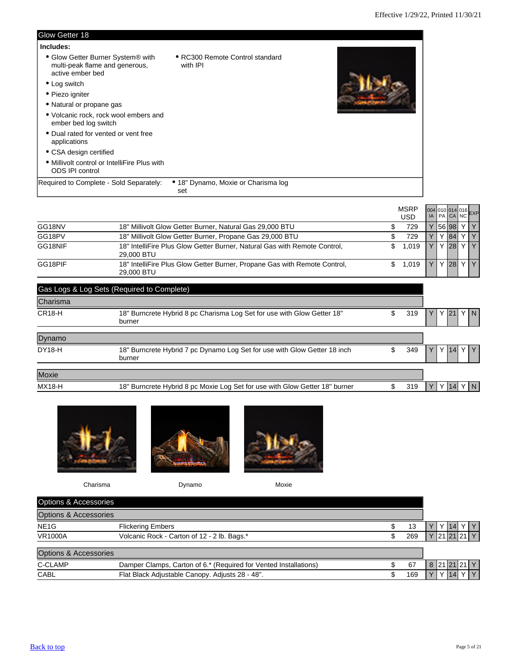<span id="page-4-0"></span>

| • RC300 Remote Control standard<br>with IPI |  |
|---------------------------------------------|--|
|                                             |  |
|                                             |  |
|                                             |  |
|                                             |  |
|                                             |  |
|                                             |  |
|                                             |  |
| • 18" Dynamo, Moxie or Charisma log<br>set  |  |
|                                             |  |

|         |                                                                                         | <b>MSRP</b><br><b>USD</b> |  |         | 004 010 014 016 EXP |
|---------|-----------------------------------------------------------------------------------------|---------------------------|--|---------|---------------------|
| GG18NV  | 18" Millivolt Glow Getter Burner, Natural Gas 29,000 BTU                                | 729                       |  | 1561981 |                     |
| GG18PV  | 18" Millivolt Glow Getter Burner, Propane Gas 29,000 BTU                                | 729                       |  | 84      |                     |
| GG18NIF | 18" IntelliFire Plus Glow Getter Burner, Natural Gas with Remote Control,<br>29,000 BTU | 1.019                     |  | 28      |                     |
| GG18PIF | 18" IntelliFire Plus Glow Getter Burner, Propane Gas with Remote Control,<br>29,000 BTU | 1.019                     |  | 28      |                     |

|               | Gas Logs & Log Sets (Required to Complete)                                          |     |   |    |     |
|---------------|-------------------------------------------------------------------------------------|-----|---|----|-----|
| Charisma      |                                                                                     |     |   |    |     |
| <b>CR18-H</b> | 18" Burncrete Hybrid 8 pc Charisma Log Set for use with Glow Getter 18"<br>burner   | 319 | Y | 21 | YN  |
| Dynamo        |                                                                                     |     |   |    |     |
| <b>DY18-H</b> | 18" Burncrete Hybrid 7 pc Dynamo Log Set for use with Glow Getter 18 inch<br>burner | 349 |   | 14 |     |
| Moxie         |                                                                                     |     |   |    |     |
| <b>MX18-H</b> | 18" Burncrete Hybrid 8 pc Moxie Log Set for use with Glow Getter 18" burner         | 319 |   | 14 | YIN |



Glow Getter 18





Charisma **Dynamo** Dynamo Moxie

| <b>Options &amp; Accessories</b> |                                                                  |     |              |  |                    |
|----------------------------------|------------------------------------------------------------------|-----|--------------|--|--------------------|
| Options & Accessories            |                                                                  |     |              |  |                    |
| NE <sub>1</sub> G                | <b>Flickering Embers</b>                                         | 13  |              |  | $ 14 $ Y $ $ Y $ $ |
| <b>VR1000A</b>                   | Volcanic Rock - Carton of 12 - 2 lb. Bags.*                      | 269 |              |  | Y 21 21 21 Y       |
| Options & Accessories            |                                                                  |     |              |  |                    |
| C-CLAMP                          | Damper Clamps, Carton of 6.* (Required for Vented Installations) | 67  |              |  | 8 21 21 21 Y       |
| CABL                             | Flat Black Adjustable Canopy. Adjusts 28 - 48".                  | 169 | $\checkmark$ |  | $ 14 $ Y $ $ Y $ $ |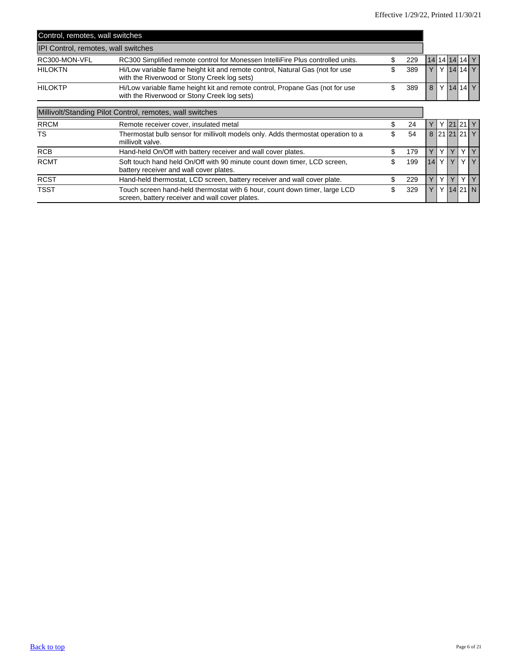| Control, remotes, wall switches     |                                                                                                                               |    |     |   |        |               |                |                     |
|-------------------------------------|-------------------------------------------------------------------------------------------------------------------------------|----|-----|---|--------|---------------|----------------|---------------------|
| IPI Control, remotes, wall switches |                                                                                                                               |    |     |   |        |               |                |                     |
| RC300-MON-VFL                       | RC300 Simplified remote control for Monessen IntelliFire Plus controlled units.                                               | \$ | 229 |   |        | 14 14 14 14 Y |                |                     |
| <b>HILOKTN</b>                      | Hi/Low variable flame height kit and remote control, Natural Gas (not for use<br>with the Riverwood or Stony Creek log sets)  | \$ | 389 | Y |        |               |                | Y 14 14 Y           |
| <b>HILOKTP</b>                      | Hi/Low variable flame height kit and remote control, Propane Gas (not for use<br>with the Riverwood or Stony Creek log sets)  | \$ | 389 | 8 | Υ      |               |                | $'$   14   14   $Y$ |
|                                     | Millivolt/Standing Pilot Control, remotes, wall switches                                                                      |    |     |   |        |               |                |                     |
| <b>RRCM</b>                         | Remote receiver cover, insulated metal                                                                                        | \$ | 24  | Y | Y      | 21            | $121$ Y        |                     |
| TS                                  | Thermostat bulb sensor for millivolt models only. Adds thermostat operation to a<br>millivolt valve.                          |    | 54  |   |        |               |                | 8 21 21 21 Y        |
| <b>RCB</b>                          | Hand-held On/Off with battery receiver and wall cover plates.                                                                 | \$ | 179 | Y | Υ      | Y             |                | YY                  |
| <b>RCMT</b>                         | Soft touch hand held On/Off with 90 minute count down timer, LCD screen,<br>battery receiver and wall cover plates.           | \$ | 199 |   | $14$ Y | Y             | Y <sub>h</sub> | $\mathsf{Y}$        |
| <b>RCST</b>                         | Hand-held thermostat, LCD screen, battery receiver and wall cover plate.                                                      | \$ | 229 | Y | Y      | Y             |                | YY                  |
| <b>TSST</b>                         | Touch screen hand-held thermostat with 6 hour, count down timer, large LCD<br>screen, battery receiver and wall cover plates. | \$ | 329 | Y |        | Y 14 21 N     |                |                     |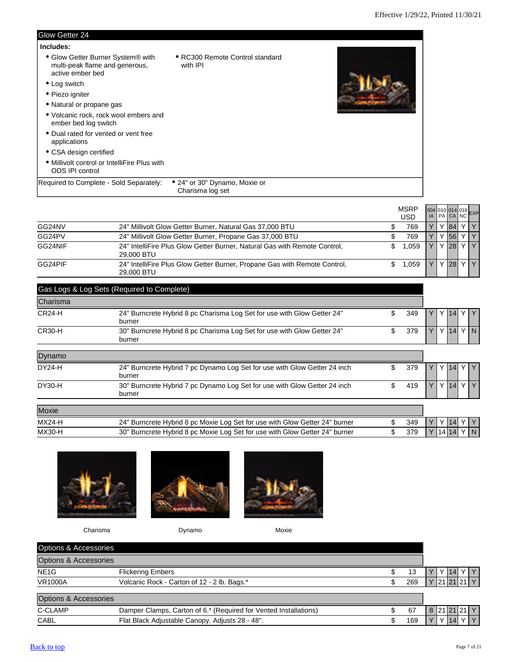| -----------                                                                             |                                                   |  |
|-----------------------------------------------------------------------------------------|---------------------------------------------------|--|
| Includes:                                                                               |                                                   |  |
| • Glow Getter Burner System® with<br>multi-peak flame and generous,<br>active ember bed | • RC300 Remote Control standard<br>with IPI       |  |
| • Log switch                                                                            |                                                   |  |
| • Piezo igniter                                                                         |                                                   |  |
| • Natural or propane gas                                                                |                                                   |  |
| • Volcanic rock, rock wool embers and<br>ember bed log switch                           |                                                   |  |
| • Dual rated for vented or vent free<br>applications                                    |                                                   |  |
| • CSA design certified                                                                  |                                                   |  |
| • Millivolt control or IntelliFire Plus with<br>ODS IPI control                         |                                                   |  |
| Required to Complete - Sold Separately:                                                 | • 24" or 30" Dynamo, Moxie or<br>Charisma log set |  |

|         |                                                                                         | <b>MSRP</b><br>USD |  |    | 004 010 014 016 EXP |
|---------|-----------------------------------------------------------------------------------------|--------------------|--|----|---------------------|
| GG24NV  | 24" Millivolt Glow Getter Burner, Natural Gas 37,000 BTU                                | 769                |  | 84 |                     |
| GG24PV  | 24" Millivolt Glow Getter Burner, Propane Gas 37,000 BTU                                | 769                |  | 56 |                     |
| GG24NIF | 24" IntelliFire Plus Glow Getter Burner, Natural Gas with Remote Control,<br>29,000 BTU | 1.059              |  | 28 | $\mathsf{I}$ Y      |
| GG24PIF | 24" IntelliFire Plus Glow Getter Burner, Propane Gas with Remote Control,<br>29,000 BTU | 1.059              |  | 28 |                     |

| Gas Logs & Log Sets (Required to Complete) |                                                                                     |     |     |                |   |           |    |
|--------------------------------------------|-------------------------------------------------------------------------------------|-----|-----|----------------|---|-----------|----|
| Charisma                                   |                                                                                     |     |     |                |   |           |    |
| CR <sub>24</sub> -H                        | 24" Burncrete Hybrid 8 pc Charisma Log Set for use with Glow Getter 24"<br>burner   | \$  | 349 |                |   | 14        | YY |
| <b>CR30-H</b>                              | 30" Burncrete Hybrid 8 pc Charisma Log Set for use with Glow Getter 24"<br>burner   | \$  | 379 | Y              | Y | 14        | YN |
| Dynamo                                     |                                                                                     |     |     |                |   |           |    |
| <b>DY24-H</b>                              | 24" Burncrete Hybrid 7 pc Dynamo Log Set for use with Glow Getter 24 inch<br>burner | \$  | 379 |                |   | 14        | YY |
| DY30-H                                     | 30" Burncrete Hybrid 7 pc Dynamo Log Set for use with Glow Getter 24 inch<br>burner | \$  | 419 | Y <sub>1</sub> | Y | 14        | YY |
| Moxie                                      |                                                                                     |     |     |                |   |           |    |
| $MX24-H$                                   | 24" Burncrete Hybrid 8 pc Moxie Log Set for use with Glow Getter 24" burner         | \$. | 349 |                | Y | 14        | YY |
| <b>MX30-H</b>                              | 30" Burncrete Hybrid 8 pc Moxie Log Set for use with Glow Getter 24" burner         |     | 379 |                |   | $Y$ 14 14 | YN |



<span id="page-6-0"></span>Glow Getter 24

Charisma **Dynamo** Dynamo Moxie



| <b>Options &amp; Accessories</b> |                                                                  |     |  |    |              |
|----------------------------------|------------------------------------------------------------------|-----|--|----|--------------|
| <b>Options &amp; Accessories</b> |                                                                  |     |  |    |              |
| NE <sub>1</sub> G                | <b>Flickering Embers</b>                                         | 13  |  | 14 | YY           |
| <b>VR1000A</b>                   | Volcanic Rock - Carton of 12 - 2 lb. Bags.*                      | 269 |  |    | Y 21 21 21 Y |
| <b>Options &amp; Accessories</b> |                                                                  |     |  |    |              |
| C-CLAMP                          | Damper Clamps, Carton of 6.* (Required for Vented Installations) | 67  |  |    | 8 21 21 21 Y |
| CABL                             | Flat Black Adjustable Canopy. Adjusts 28 - 48".                  | 169 |  | 14 | YY           |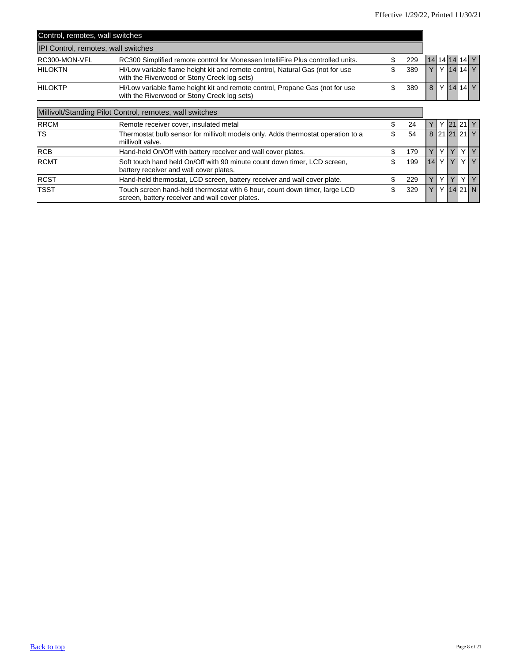| Control, remotes, wall switches     |                                                                                                                               |     |     |   |        |   |                |              |
|-------------------------------------|-------------------------------------------------------------------------------------------------------------------------------|-----|-----|---|--------|---|----------------|--------------|
| IPI Control, remotes, wall switches |                                                                                                                               |     |     |   |        |   |                |              |
| RC300-MON-VFL                       | RC300 Simplified remote control for Monessen IntelliFire Plus controlled units.                                               | \$  | 229 |   |        |   | 14 14 14 14 Y  |              |
| <b>HILOKTN</b>                      | Hi/Low variable flame height kit and remote control, Natural Gas (not for use<br>with the Riverwood or Stony Creek log sets)  | \$  | 389 |   |        |   |                | Y 14 14 Y    |
| <b>HILOKTP</b>                      | Hi/Low variable flame height kit and remote control, Propane Gas (not for use<br>with the Riverwood or Stony Creek log sets)  | \$  | 389 | 8 |        |   |                | $Y$ 14 14 Y  |
|                                     | Millivolt/Standing Pilot Control, remotes, wall switches                                                                      |     |     |   |        |   |                |              |
| <b>RRCM</b>                         | Remote receiver cover, insulated metal                                                                                        | \$  | 24  | Y | Y      |   | 21 21 Y        |              |
| TS                                  | Thermostat bulb sensor for millivolt models only. Adds thermostat operation to a<br>millivolt valve.                          | \$. | 54  | 8 |        |   | 21 21 21 Y     |              |
| <b>RCB</b>                          | Hand-held On/Off with battery receiver and wall cover plates.                                                                 | \$  | 179 | Y | Y      | Y |                | YY           |
| <b>RCMT</b>                         | Soft touch hand held On/Off with 90 minute count down timer, LCD screen,<br>battery receiver and wall cover plates.           | \$  | 199 |   | $14$ Y | Y | Y <sub>1</sub> | $\mathsf{Y}$ |
| <b>RCST</b>                         | Hand-held thermostat, LCD screen, battery receiver and wall cover plate.                                                      | \$  | 229 | Y | Y      | Y |                | YY           |
| <b>TSST</b>                         | Touch screen hand-held thermostat with 6 hour, count down timer, large LCD<br>screen, battery receiver and wall cover plates. | \$  | 329 | Y |        |   | Y 14 21 N      |              |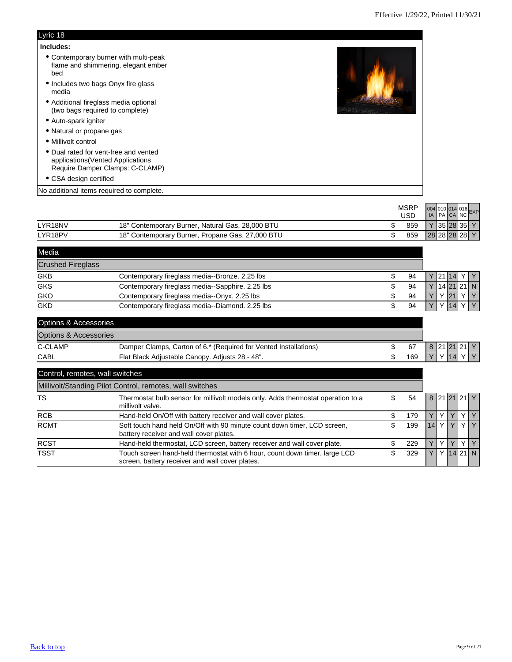<span id="page-8-0"></span>

| Lyric 18                                                                                                      |  |
|---------------------------------------------------------------------------------------------------------------|--|
| Includes:                                                                                                     |  |
| • Contemporary burner with multi-peak<br>flame and shimmering, elegant ember<br>bed                           |  |
| • Includes two bags Onyx fire glass<br>media                                                                  |  |
| • Additional fireglass media optional<br>(two bags required to complete)                                      |  |
| • Auto-spark igniter                                                                                          |  |
| • Natural or propane gas                                                                                      |  |
| • Millivolt control                                                                                           |  |
| • Dual rated for vent-free and vented<br>applications (Vented Applications<br>Require Damper Clamps: C-CLAMP) |  |
| • CSA design certified                                                                                        |  |
| No additional items required to complete.                                                                     |  |

|                                 |                                                                                                                               | <b>MSRP</b><br><b>USD</b> |    |       |               |        | 004 010 014 016 EXP |
|---------------------------------|-------------------------------------------------------------------------------------------------------------------------------|---------------------------|----|-------|---------------|--------|---------------------|
| I YR18NV                        | 18" Contemporary Burner, Natural Gas, 28,000 BTU                                                                              | \$<br>859                 | Y  |       | 35 28 35 Y    |        |                     |
| LYR18PV                         | 18" Contemporary Burner, Propane Gas, 27,000 BTU                                                                              | \$<br>859                 |    |       | 28 28 28 28 Y |        |                     |
| Media                           |                                                                                                                               |                           |    |       |               |        |                     |
| <b>Crushed Fireglass</b>        |                                                                                                                               |                           |    |       |               |        |                     |
| <b>GKB</b>                      | Contemporary fireglass media--Bronze. 2.25 lbs                                                                                | \$<br>94                  | Y  | 21    | 14            |        |                     |
| GKS                             | Contemporary fireglass media--Sapphire. 2.25 lbs                                                                              | \$<br>94                  | Y  | 14 21 |               | $21$ N |                     |
| GKO                             | Contemporary fireglass media--Onyx. 2.25 lbs                                                                                  | \$<br>94                  | Y  | Υ     | 21            |        |                     |
| <b>GKD</b>                      | Contemporary fireglass media--Diamond. 2.25 lbs                                                                               | \$<br>94                  | Y  | Υ     | 14            | Y      |                     |
| Options & Accessories           |                                                                                                                               |                           |    |       |               |        |                     |
| Options & Accessories           |                                                                                                                               |                           |    |       |               |        |                     |
| C-CLAMP                         | Damper Clamps, Carton of 6.* (Required for Vented Installations)                                                              | \$<br>67                  | 8  | 21    | 21            | 21     |                     |
| <b>CABL</b>                     | Flat Black Adjustable Canopy. Adjusts 28 - 48".                                                                               | \$<br>169                 | Y  |       | $Y$ 14        |        |                     |
| Control, remotes, wall switches |                                                                                                                               |                           |    |       |               |        |                     |
|                                 | Millivolt/Standing Pilot Control, remotes, wall switches                                                                      |                           |    |       |               |        |                     |
| <b>TS</b>                       | Thermostat bulb sensor for millivolt models only. Adds thermostat operation to a<br>millivolt valve.                          | \$<br>54                  |    |       | 8 21 21 21 Y  |        |                     |
| <b>RCB</b>                      | Hand-held On/Off with battery receiver and wall cover plates.                                                                 | \$<br>179                 | Y  | Υ     | Y             | Y      |                     |
| <b>RCMT</b>                     | Soft touch hand held On/Off with 90 minute count down timer, LCD screen,<br>battery receiver and wall cover plates.           | \$<br>199                 | 14 | Y     | Y             | Υ      |                     |
| <b>RCST</b>                     | Hand-held thermostat, LCD screen, battery receiver and wall cover plate.                                                      | \$<br>229                 | Y  | Υ     | Y             | Υ      | Y                   |
| <b>TSST</b>                     | Touch screen hand-held thermostat with 6 hour, count down timer, large LCD<br>screen, battery receiver and wall cover plates. | \$<br>329                 | Y  |       | $Y$ 1421 N    |        |                     |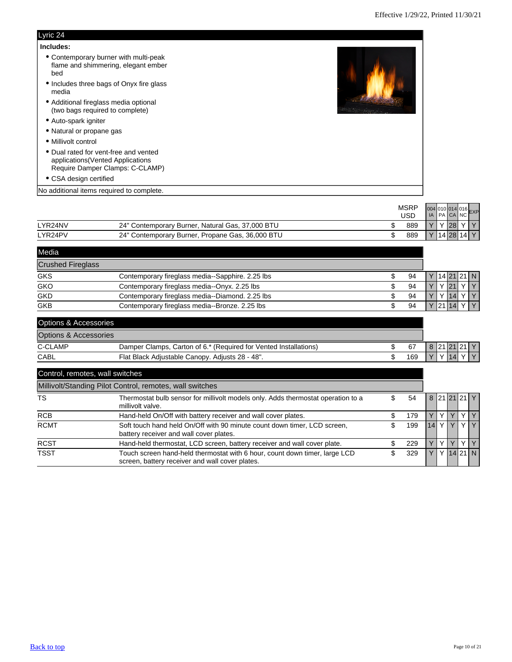<span id="page-9-0"></span>

| Lyric 24                                                                                                      |  |
|---------------------------------------------------------------------------------------------------------------|--|
| Includes:                                                                                                     |  |
| • Contemporary burner with multi-peak<br>flame and shimmering, elegant ember<br>bed                           |  |
| • Includes three bags of Onyx fire glass<br>media                                                             |  |
| • Additional fireglass media optional<br>(two bags required to complete)                                      |  |
| • Auto-spark igniter                                                                                          |  |
| • Natural or propane gas                                                                                      |  |
| • Millivolt control                                                                                           |  |
| • Dual rated for vent-free and vented<br>applications (Vented Applications<br>Require Damper Clamps: C-CLAMP) |  |
| • CSA design certified                                                                                        |  |
| No additional items required to complete.                                                                     |  |

|                                  |                                                                                                                               | <b>MSRP</b> |    |        |              |    | 004 010 014 016 EXP |
|----------------------------------|-------------------------------------------------------------------------------------------------------------------------------|-------------|----|--------|--------------|----|---------------------|
|                                  |                                                                                                                               | <b>USD</b>  | IA |        | PA CA NC     |    |                     |
| LYR24NV                          | 24" Contemporary Burner, Natural Gas, 37,000 BTU                                                                              | \$<br>889   | Y  |        | Y 28         | Y  |                     |
| LYR24PV                          | 24" Contemporary Burner, Propane Gas, 36,000 BTU                                                                              | \$<br>889   | Y  |        | 14 28 14 Y   |    |                     |
| Media                            |                                                                                                                               |             |    |        |              |    |                     |
| <b>Crushed Fireglass</b>         |                                                                                                                               |             |    |        |              |    |                     |
| <b>GKS</b>                       | Contemporary fireglass media--Sapphire. 2.25 lbs                                                                              | \$<br>94    | Y  |        | 14 21 21 N   |    |                     |
| GKO                              | Contemporary fireglass media--Onyx. 2.25 lbs                                                                                  | \$<br>94    | Y  |        | $Y$ 21       | Y  |                     |
| <b>GKD</b>                       | Contemporary fireglass media--Diamond. 2.25 lbs                                                                               | \$<br>94    | Y  |        | $Y$ 14       | Y  | Y                   |
| <b>GKB</b>                       | Contemporary fireglass media--Bronze. 2.25 lbs                                                                                | \$<br>94    |    |        | Y 21 14      | Y. | Y                   |
| Options & Accessories            |                                                                                                                               |             |    |        |              |    |                     |
| <b>Options &amp; Accessories</b> |                                                                                                                               |             |    |        |              |    |                     |
| C-CLAMP                          | Damper Clamps, Carton of 6.* (Required for Vented Installations)                                                              | \$<br>67    |    |        | 8 21 21 21 Y |    |                     |
| <b>CABL</b>                      | Flat Black Adjustable Canopy. Adjusts 28 - 48".                                                                               | \$<br>169   | Y  |        | $Y$ 14       |    |                     |
| Control, remotes, wall switches  |                                                                                                                               |             |    |        |              |    |                     |
|                                  | Millivolt/Standing Pilot Control, remotes, wall switches                                                                      |             |    |        |              |    |                     |
| <b>TS</b>                        | Thermostat bulb sensor for millivolt models only. Adds thermostat operation to a<br>millivolt valve.                          | \$<br>54    |    |        | 8 21 21 21 Y |    |                     |
| <b>RCB</b>                       | Hand-held On/Off with battery receiver and wall cover plates.                                                                 | \$<br>179   | Y  | Y      | Y            | Υl | Y                   |
| <b>RCMT</b>                      | Soft touch hand held On/Off with 90 minute count down timer, LCD screen,<br>battery receiver and wall cover plates.           | \$<br>199   |    | $14$ Y | Y            | Y  | Y                   |
| <b>RCST</b>                      | Hand-held thermostat, LCD screen, battery receiver and wall cover plate.                                                      | \$<br>229   | Y  | Y      | Y            | Y  | Y                   |
| <b>TSST</b>                      | Touch screen hand-held thermostat with 6 hour, count down timer, large LCD<br>screen, battery receiver and wall cover plates. | \$<br>329   | Y  |        | $Y$ 14 21 N  |    |                     |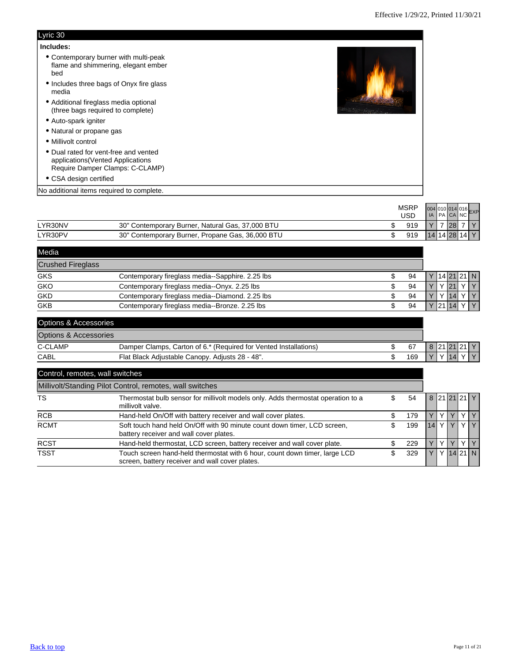<span id="page-10-0"></span>

| Lyric 30                                                                                                      |  |
|---------------------------------------------------------------------------------------------------------------|--|
| Includes:                                                                                                     |  |
| • Contemporary burner with multi-peak<br>flame and shimmering, elegant ember<br>bed                           |  |
| • Includes three bags of Onyx fire glass<br>media                                                             |  |
| • Additional fireglass media optional<br>(three bags required to complete)                                    |  |
| • Auto-spark igniter                                                                                          |  |
| • Natural or propane gas                                                                                      |  |
| • Millivolt control                                                                                           |  |
| • Dual rated for vent-free and vented<br>applications (Vented Applications<br>Require Damper Clamps: C-CLAMP) |  |
| • CSA design certified                                                                                        |  |
| No additional items required to complete.                                                                     |  |

|                                  |                                                                                                                               | <b>MSRP</b><br><b>USD</b> |    |                |               |     | 004 010 014 016 EXP |
|----------------------------------|-------------------------------------------------------------------------------------------------------------------------------|---------------------------|----|----------------|---------------|-----|---------------------|
| LYR30NV                          | 30" Contemporary Burner, Natural Gas, 37,000 BTU                                                                              | \$<br>919                 | Y  | $\overline{7}$ | 28            | 7   | $\mathsf{Y}$        |
| LYR30PV                          | 30" Contemporary Burner, Propane Gas, 36,000 BTU                                                                              | \$<br>919                 |    |                | 14 14 28 14 Y |     |                     |
| Media                            |                                                                                                                               |                           |    |                |               |     |                     |
| <b>Crushed Fireglass</b>         |                                                                                                                               |                           |    |                |               |     |                     |
| <b>GKS</b>                       | Contemporary fireglass media--Sapphire. 2.25 lbs                                                                              | \$<br>94                  | Y  | 14 21          |               | 21N |                     |
| <b>GKO</b>                       | Contemporary fireglass media--Onyx. 2.25 lbs                                                                                  | \$<br>94                  | Y  | Y              | 21            |     |                     |
| <b>GKD</b>                       | Contemporary fireglass media--Diamond. 2.25 lbs                                                                               | \$<br>94                  | Y  | Y              | 14            | Y   |                     |
| <b>GKB</b>                       | Contemporary fireglass media--Bronze. 2.25 lbs                                                                                | \$<br>94                  | Y  | 121            | 14            |     |                     |
| <b>Options &amp; Accessories</b> |                                                                                                                               |                           |    |                |               |     |                     |
| <b>Options &amp; Accessories</b> |                                                                                                                               |                           |    |                |               |     |                     |
| C-CLAMP                          | Damper Clamps, Carton of 6.* (Required for Vented Installations)                                                              | \$<br>67                  |    | 8 21           | 21            | 21  |                     |
| CABL                             | Flat Black Adjustable Canopy. Adjusts 28 - 48".                                                                               | \$<br>169                 | Y  | Y              | 14            |     |                     |
| Control, remotes, wall switches  |                                                                                                                               |                           |    |                |               |     |                     |
|                                  | Millivolt/Standing Pilot Control, remotes, wall switches                                                                      |                           |    |                |               |     |                     |
| <b>TS</b>                        | Thermostat bulb sensor for millivolt models only. Adds thermostat operation to a<br>millivolt valve.                          | \$<br>54                  | 8  |                | 21 21 21 Y    |     |                     |
| <b>RCB</b>                       | Hand-held On/Off with battery receiver and wall cover plates.                                                                 | \$<br>179                 | Y  | Υ              | Y             | Y   | Y                   |
| <b>RCMT</b>                      | Soft touch hand held On/Off with 90 minute count down timer, LCD screen,<br>battery receiver and wall cover plates.           | \$<br>199                 | 14 | Y              | Y             | Y   |                     |
| <b>RCST</b>                      | Hand-held thermostat, LCD screen, battery receiver and wall cover plate.                                                      | \$<br>229                 | Y  | Υ              | Y             | Υ   |                     |
| <b>TSST</b>                      | Touch screen hand-held thermostat with 6 hour, count down timer, large LCD<br>screen, battery receiver and wall cover plates. | \$<br>329                 | Y  |                | Y 14 21 N     |     |                     |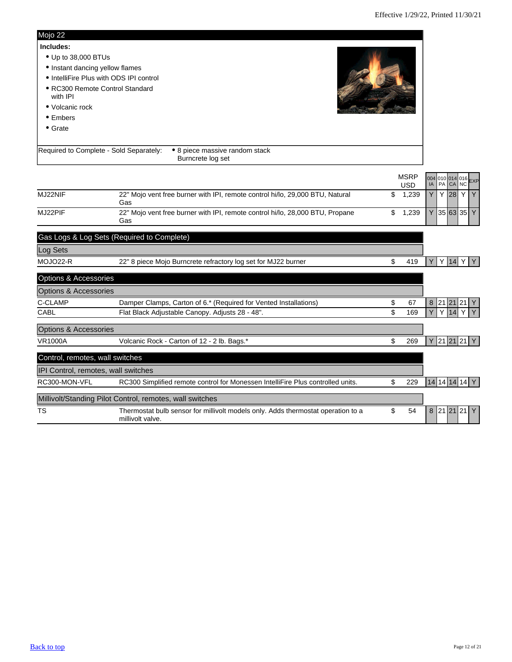<span id="page-11-0"></span>

| Mojo 22<br>Includes:<br>• Up to 38,000 BTUs<br>• Instant dancing yellow flames<br>• IntelliFire Plus with ODS IPI control<br>• RC300 Remote Control Standard<br>with IPI<br>• Volcanic rock<br>$\bullet$ Embers<br>$\bullet$ Grate |                                                     |                           |                     |
|------------------------------------------------------------------------------------------------------------------------------------------------------------------------------------------------------------------------------------|-----------------------------------------------------|---------------------------|---------------------|
| Required to Complete - Sold Separately:                                                                                                                                                                                            | • 8 piece massive random stack<br>Burncrete log set |                           |                     |
|                                                                                                                                                                                                                                    |                                                     | <b>MSRP</b><br><b>USD</b> | 004 010 014 016 EXP |

|                                  |                                                                                                      | --          |    |         |               |          |   |
|----------------------------------|------------------------------------------------------------------------------------------------------|-------------|----|---------|---------------|----------|---|
| MJ22NIF                          | 22" Mojo vent free burner with IPI, remote control hi/lo, 29,000 BTU, Natural<br>Gas                 | \$<br>1,239 | Y. | Y       | 28            | Y        | Y |
| MJ22PIF                          | 22" Mojo vent free burner with IPI, remote control hi/lo, 28,000 BTU, Propane<br>Gas                 | \$<br>1,239 |    |         | Y 35 63 35 Y  |          |   |
|                                  | Gas Logs & Log Sets (Required to Complete)                                                           |             |    |         |               |          |   |
| Log Sets                         |                                                                                                      |             |    |         |               |          |   |
| MOJO22-R                         | 22" 8 piece Mojo Burncrete refractory log set for MJ22 burner                                        | \$<br>419   |    | Y       | 14            | YIY      |   |
| <b>Options &amp; Accessories</b> |                                                                                                      |             |    |         |               |          |   |
| <b>Options &amp; Accessories</b> |                                                                                                      |             |    |         |               |          |   |
| C-CLAMP                          | Damper Clamps, Carton of 6.* (Required for Vented Installations)                                     | \$<br>67    |    | 8 21 21 |               | $21$ Y   |   |
| CABL                             | Flat Black Adjustable Canopy. Adjusts 28 - 48".                                                      | \$<br>169   |    | Y.      | 14            | Y        |   |
| <b>Options &amp; Accessories</b> |                                                                                                      |             |    |         |               |          |   |
| <b>VR1000A</b>                   | Volcanic Rock - Carton of 12 - 2 lb. Bags.*                                                          | \$<br>269   |    |         | Y 21 21 21 Y  |          |   |
| Control, remotes, wall switches  |                                                                                                      |             |    |         |               |          |   |
|                                  | IPI Control, remotes, wall switches                                                                  |             |    |         |               |          |   |
| RC300-MON-VFL                    | RC300 Simplified remote control for Monessen IntelliFire Plus controlled units.                      | \$<br>229   |    |         | 14 14 14 14 Y |          |   |
|                                  | Millivolt/Standing Pilot Control, remotes, wall switches                                             |             |    |         |               |          |   |
| <b>TS</b>                        | Thermostat bulb sensor for millivolt models only. Adds thermostat operation to a<br>millivolt valve. | \$<br>54    |    | 8 21 21 |               | $21$ $Y$ |   |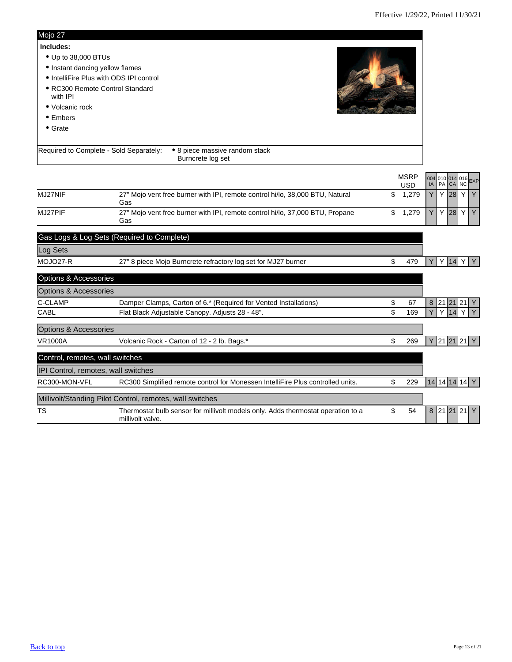<span id="page-12-0"></span>

| Mojo 27<br>Includes:<br>• Up to 38,000 BTUs<br>• Instant dancing yellow flames<br>• IntelliFire Plus with ODS IPI control<br>• RC300 Remote Control Standard<br>with IPI<br>• Volcanic rock<br>$\bullet$ Embers<br>• Grate |                                                                               |                                               |                                 |
|----------------------------------------------------------------------------------------------------------------------------------------------------------------------------------------------------------------------------|-------------------------------------------------------------------------------|-----------------------------------------------|---------------------------------|
| Required to Complete - Sold Separately:                                                                                                                                                                                    | • 8 piece massive random stack<br>Burncrete log set                           |                                               |                                 |
| MJ27NIF                                                                                                                                                                                                                    | 27" Mojo vent free burner with IPI, remote control hi/lo, 38,000 BTU, Natural | \$<br><b>MSRP</b><br><b>USD</b><br>1,279<br>Y | 004 010 014 016 EXP<br>Y 28 Y Y |

|                                     | Gas                                                                                                  |             |   |      |            |            |   |
|-------------------------------------|------------------------------------------------------------------------------------------------------|-------------|---|------|------------|------------|---|
| MJ27PIF                             | 27" Mojo vent free burner with IPI, remote control hi/lo, 37,000 BTU, Propane<br>Gas                 | \$<br>1,279 | Y | Y    | 28         | Y          | Y |
|                                     | Gas Logs & Log Sets (Required to Complete)                                                           |             |   |      |            |            |   |
| Log Sets                            |                                                                                                      |             |   |      |            |            |   |
| MOJO27-R                            | 27" 8 piece Mojo Burncrete refractory log set for MJ27 burner                                        | \$<br>479   |   |      | 14         |            |   |
| <b>Options &amp; Accessories</b>    |                                                                                                      |             |   |      |            |            |   |
| <b>Options &amp; Accessories</b>    |                                                                                                      |             |   |      |            |            |   |
| C-CLAMP                             | Damper Clamps, Carton of 6.* (Required for Vented Installations)                                     | \$<br>67    |   | 8 21 | 21         | 21         |   |
| CABL                                | Flat Black Adjustable Canopy. Adjusts 28 - 48".                                                      | \$<br>169   |   |      | 14         |            |   |
| <b>Options &amp; Accessories</b>    |                                                                                                      |             |   |      |            |            |   |
| <b>VR1000A</b>                      | Volcanic Rock - Carton of 12 - 2 lb. Bags.*                                                          | \$<br>269   |   |      |            | Y 21 21 21 |   |
| Control, remotes, wall switches     |                                                                                                      |             |   |      |            |            |   |
| IPI Control, remotes, wall switches |                                                                                                      |             |   |      |            |            |   |
| RC300-MON-VFL                       | RC300 Simplified remote control for Monessen IntelliFire Plus controlled units.                      | \$<br>229   |   |      | 14 14 14   | 14 I       |   |
|                                     | Millivolt/Standing Pilot Control, remotes, wall switches                                             |             |   |      |            |            |   |
| <b>TS</b>                           | Thermostat bulb sensor for millivolt models only. Adds thermostat operation to a<br>millivolt valve. | \$<br>54    |   |      | 8 21 21 21 |            |   |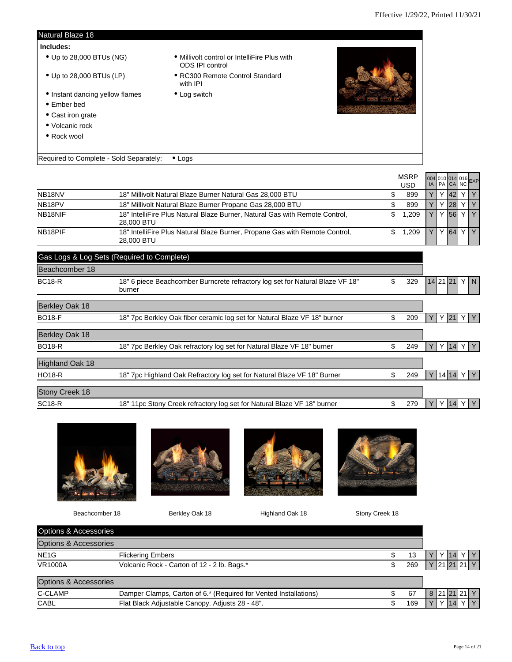<span id="page-13-0"></span>

| Natural Blaze 18                           |            |                                                                               |    |                           |    |                     |                |    |    |
|--------------------------------------------|------------|-------------------------------------------------------------------------------|----|---------------------------|----|---------------------|----------------|----|----|
| Includes:                                  |            |                                                                               |    |                           |    |                     |                |    |    |
| • Up to 28,000 BTUs (NG)                   |            | • Millivolt control or IntelliFire Plus with<br>ODS IPI control               |    |                           |    |                     |                |    |    |
| • Up to 28,000 BTUs (LP)                   |            | • RC300 Remote Control Standard<br>with IPI                                   |    |                           |    |                     |                |    |    |
| • Instant dancing yellow flames            |            | • Log switch                                                                  |    |                           |    |                     |                |    |    |
| • Ember bed                                |            |                                                                               |    |                           |    |                     |                |    |    |
| • Cast iron grate                          |            |                                                                               |    |                           |    |                     |                |    |    |
| • Volcanic rock                            |            |                                                                               |    |                           |    |                     |                |    |    |
| • Rock wool                                |            |                                                                               |    |                           |    |                     |                |    |    |
|                                            |            |                                                                               |    |                           |    |                     |                |    |    |
| Required to Complete - Sold Separately:    |            | $\bullet$ Logs                                                                |    |                           |    |                     |                |    |    |
|                                            |            |                                                                               |    |                           |    |                     |                |    |    |
|                                            |            |                                                                               |    | <b>MSRP</b><br><b>USD</b> |    | 004 010 014 016 EXP |                |    |    |
| NB18NV                                     |            | 18" Millivolt Natural Blaze Burner Natural Gas 28,000 BTU                     | \$ | 899                       | Y  | Y                   | 42             |    | YY |
| NB18PV                                     |            | 18" Millivolt Natural Blaze Burner Propane Gas 28,000 BTU                     | \$ | 899                       | Y  | Y                   | 28             |    | YY |
| NB18NIF                                    | 28,000 BTU | 18" IntelliFire Plus Natural Blaze Burner, Natural Gas with Remote Control,   | \$ | 1,209                     | Y  | Y                   | 56             | YY |    |
| NB18PIF                                    | 28,000 BTU | 18" IntelliFire Plus Natural Blaze Burner, Propane Gas with Remote Control,   | \$ | 1,209                     | Y. |                     | $Y$ 64 $Y$ $Y$ |    |    |
| Gas Logs & Log Sets (Required to Complete) |            |                                                                               |    |                           |    |                     |                |    |    |
| Beachcomber 18                             |            |                                                                               |    |                           |    |                     |                |    |    |
| <b>BC18-R</b>                              | burner     | 18" 6 piece Beachcomber Burncrete refractory log set for Natural Blaze VF 18" | \$ | 329                       |    | 14 21 21            |                | YN |    |
| Berkley Oak 18                             |            |                                                                               |    |                           |    |                     |                |    |    |
| <b>BO18-F</b>                              |            | 18" 7pc Berkley Oak fiber ceramic log set for Natural Blaze VF 18" burner     | \$ | 209                       | Y  | Υ                   | 21             | Y  | Y  |
| Berkley Oak 18                             |            |                                                                               |    |                           |    |                     |                |    |    |
| <b>BO18-R</b>                              |            | 18" 7pc Berkley Oak refractory log set for Natural Blaze VF 18" burner        | \$ | 249                       |    | Υ                   | $14$ Y         |    | Y  |
| $1.8 - 1.6 - 1.0 - 1.40$                   |            |                                                                               |    |                           |    |                     |                |    |    |

Highland Oak 18 HO18-R 18" 7pc Highland Oak Refractory log set for Natural Blaze VF 18" Burner \$ 249 Y 14 14 Y Y Stony Creek 18 SC18-R 18" 11pc Stony Creek refractory log set for Natural Blaze VF 18" burner \$ 279 Y Y 14





Beachcomber 18 Berkley Oak 18 Highland Oak 18 Stony Creek 18





Options & Accessories Options & Accessories NE1G Flickering Embers \$ 13 VR1000A Volcanic Rock - Carton of 12 - 2 lb. Bags.\* \$ 269 \$ 269 Options & Accessories C-CLAMP Damper Clamps, Carton of 6.\* (Required for Vented Installations) \$ 67 8 21 CABL Flat Black Adjustable Canopy. Adjusts 28 - 48". \$ 169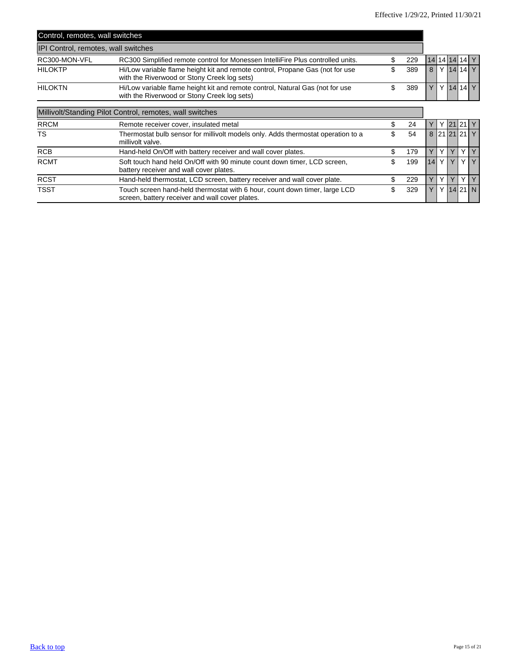| Control, remotes, wall switches     |                                                                                                                               |           |   |          |               |         |           |
|-------------------------------------|-------------------------------------------------------------------------------------------------------------------------------|-----------|---|----------|---------------|---------|-----------|
| IPI Control, remotes, wall switches |                                                                                                                               |           |   |          |               |         |           |
| RC300-MON-VFL                       | RC300 Simplified remote control for Monessen IntelliFire Plus controlled units.                                               | \$<br>229 |   |          | 14 14 14 14 Y |         |           |
| <b>HILOKTP</b>                      | Hi/Low variable flame height kit and remote control, Propane Gas (not for use<br>with the Riverwood or Stony Creek log sets)  | \$<br>389 | 8 |          |               |         | Y 14 14 Y |
| <b>HILOKTN</b>                      | Hi/Low variable flame height kit and remote control, Natural Gas (not for use<br>with the Riverwood or Stony Creek log sets)  | \$<br>389 | Υ |          | $Y$ 14 14 Y   |         |           |
|                                     | Millivolt/Standing Pilot Control, remotes, wall switches                                                                      |           |   |          |               |         |           |
| <b>RRCM</b>                         | Remote receiver cover, insulated metal                                                                                        | \$<br>24  | Y | Υ        | 21            | $121$ Y |           |
| TS                                  | Thermostat bulb sensor for millivolt models only. Adds thermostat operation to a<br>millivolt valve.                          | \$<br>54  |   |          | 8 21 21 21 Y  |         |           |
| <b>RCB</b>                          | Hand-held On/Off with battery receiver and wall cover plates.                                                                 | \$<br>179 | Y | Y        | Y             |         | YY        |
| <b>RCMT</b>                         | Soft touch hand held On/Off with 90 minute count down timer, LCD screen,<br>battery receiver and wall cover plates.           | \$<br>199 |   | $14$ Y Y |               |         | YY        |
| <b>RCST</b>                         | Hand-held thermostat, LCD screen, battery receiver and wall cover plate.                                                      | \$<br>229 | Y | Y        | Y             |         | Y Y       |
| <b>TSST</b>                         | Touch screen hand-held thermostat with 6 hour, count down timer, large LCD<br>screen, battery receiver and wall cover plates. | \$<br>329 | Y |          | $Y$  14 21 N  |         |           |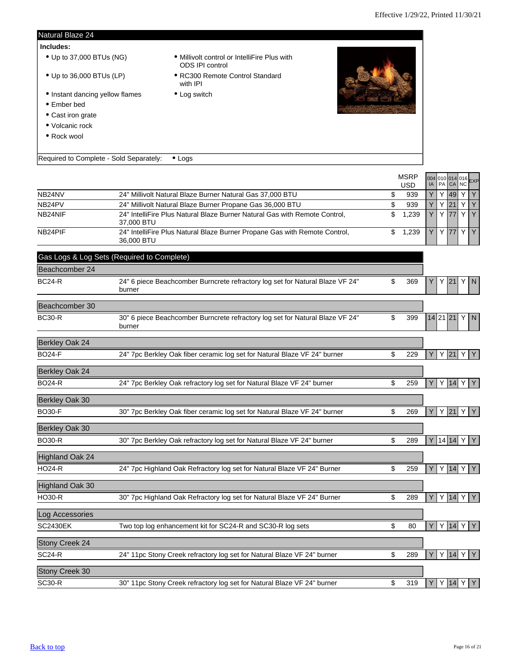<span id="page-15-0"></span>

| Natural Blaze 24                           |            |                                                                                                                        |          |             |        |          |                                                 |        |        |
|--------------------------------------------|------------|------------------------------------------------------------------------------------------------------------------------|----------|-------------|--------|----------|-------------------------------------------------|--------|--------|
| Includes:                                  |            |                                                                                                                        |          |             |        |          |                                                 |        |        |
| • Up to 37,000 BTUs (NG)                   |            | · Millivolt control or IntelliFire Plus with<br><b>ODS IPI control</b>                                                 |          |             |        |          |                                                 |        |        |
| • Up to 36,000 BTUs (LP)                   |            | • RC300 Remote Control Standard<br>with IPI                                                                            |          |             |        |          |                                                 |        |        |
| • Instant dancing yellow flames            |            | • Log switch                                                                                                           |          |             |        |          |                                                 |        |        |
| • Ember bed                                |            |                                                                                                                        |          |             |        |          |                                                 |        |        |
| • Cast iron grate                          |            |                                                                                                                        |          |             |        |          |                                                 |        |        |
| • Volcanic rock                            |            |                                                                                                                        |          |             |        |          |                                                 |        |        |
| • Rock wool                                |            |                                                                                                                        |          |             |        |          |                                                 |        |        |
| Required to Complete - Sold Separately:    |            | $\bullet$ Logs                                                                                                         |          |             |        |          |                                                 |        |        |
|                                            |            |                                                                                                                        |          | <b>MSRP</b> |        |          | 004 010 014 016 EXP                             |        |        |
|                                            |            |                                                                                                                        |          | <b>USD</b>  | IA     |          | PA CA NC                                        |        |        |
| NB24NV<br>NB24PV                           |            | 24" Millivolt Natural Blaze Burner Natural Gas 37,000 BTU<br>24" Millivolt Natural Blaze Burner Propane Gas 36,000 BTU | \$<br>\$ | 939<br>939  | Y<br>Y | Y        | $Y$ 49<br>21                                    | Y<br>Υ | Y<br>Y |
| NB24NIF                                    |            | 24" IntelliFire Plus Natural Blaze Burner Natural Gas with Remote Control,                                             | \$       | 1,239       | Y      | Y        | 77                                              | Y      | Y      |
|                                            | 37,000 BTU |                                                                                                                        |          |             |        |          |                                                 |        |        |
| NB <sub>24</sub> PIF                       | 36,000 BTU | 24" IntelliFire Plus Natural Blaze Burner Propane Gas with Remote Control,                                             | \$       | 1,239       |        | Y Y 77   |                                                 | Y      | Y      |
| Gas Logs & Log Sets (Required to Complete) |            |                                                                                                                        |          |             |        |          |                                                 |        |        |
| Beachcomber 24                             |            |                                                                                                                        |          |             |        |          |                                                 |        |        |
| <b>BC24-R</b>                              | burner     | 24" 6 piece Beachcomber Burncrete refractory log set for Natural Blaze VF 24"                                          | \$       | 369         | Y.     | $Y$ 21   |                                                 | Y      | N      |
| Beachcomber 30                             |            |                                                                                                                        |          |             |        |          |                                                 |        |        |
| <b>BC30-R</b>                              | burner     | 30" 6 piece Beachcomber Burncrete refractory log set for Natural Blaze VF 24"                                          | \$       | 399         |        | 14 21 21 |                                                 | YN     |        |
| Berkley Oak 24                             |            |                                                                                                                        |          |             |        |          |                                                 |        |        |
| <b>BO24-F</b>                              |            | 24" 7pc Berkley Oak fiber ceramic log set for Natural Blaze VF 24" burner                                              | \$       | 229         | Y      |          | $Y$ 21 Y                                        |        |        |
| Berkley Oak 24                             |            |                                                                                                                        |          |             |        |          |                                                 |        |        |
| <b>BO24-R</b>                              |            | 24" 7pc Berkley Oak refractory log set for Natural Blaze VF 24" burner                                                 | \$       | 259         | Y      |          | $Y$ 14                                          | Y      |        |
| Berkley Oak 30                             |            |                                                                                                                        |          |             |        |          |                                                 |        |        |
| <b>BO30-F</b>                              |            | 30" 7pc Berkley Oak fiber ceramic log set for Natural Blaze VF 24" burner                                              | \$       | 269         | Y      |          | $Y$ 21 $Y$ $Y$                                  |        |        |
| Berkley Oak 30                             |            |                                                                                                                        |          |             |        |          |                                                 |        |        |
| <b>BO30-R</b>                              |            | 30" 7pc Berkley Oak refractory log set for Natural Blaze VF 24" burner                                                 | \$       | 289         |        |          | $Y$ 14 14 $Y$ $Y$                               |        |        |
| <b>Highland Oak 24</b>                     |            |                                                                                                                        |          |             |        |          |                                                 |        |        |
| <b>HO24-R</b>                              |            | 24" 7pc Highland Oak Refractory log set for Natural Blaze VF 24" Burner                                                | \$       | 259         | Y      |          | $Y$ 14 $Y$ $Y$                                  |        |        |
| <b>Highland Oak 30</b>                     |            |                                                                                                                        |          |             |        |          |                                                 |        |        |
| <b>HO30-R</b>                              |            | 30" 7pc Highland Oak Refractory log set for Natural Blaze VF 24" Burner                                                | \$       | 289         | Y      |          | $\overline{Y}$ 14 $\overline{Y}$ $\overline{Y}$ |        |        |
| Log Accessories                            |            |                                                                                                                        |          |             |        |          |                                                 |        |        |
| <b>SC2430EK</b>                            |            | Two top log enhancement kit for SC24-R and SC30-R log sets                                                             | \$       | 80          | Y      |          | Y 14 Y Y                                        |        |        |
| Stony Creek 24                             |            |                                                                                                                        |          |             |        |          |                                                 |        |        |
| <b>SC24-R</b>                              |            | 24" 11pc Stony Creek refractory log set for Natural Blaze VF 24" burner                                                | \$       | 289         |        |          | $Y$ $Y$ $14$ $Y$ $Y$                            |        |        |
| Stony Creek 30                             |            |                                                                                                                        |          |             |        |          |                                                 |        |        |
| <b>SC30-R</b>                              |            | 30" 11pc Stony Creek refractory log set for Natural Blaze VF 24" burner                                                | \$       | 319         | Y      |          | $Y$ 14 $Y$ $Y$                                  |        |        |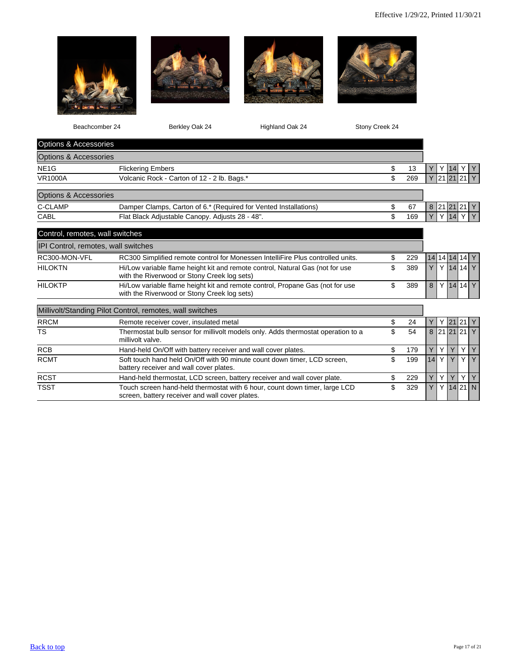





Beachcomber 24 **Berkley Oak 24** Highland Oak 24 Stony Creek 24

| <b>Options &amp; Accessories</b>    |                                                                                                                               |           |    |        |               |   |              |
|-------------------------------------|-------------------------------------------------------------------------------------------------------------------------------|-----------|----|--------|---------------|---|--------------|
| Options & Accessories               |                                                                                                                               |           |    |        |               |   |              |
| NE <sub>1</sub> G                   | <b>Flickering Embers</b>                                                                                                      | \$<br>13  | Y  |        | $Y$ 14        |   | Y            |
| <b>VR1000A</b>                      | Volcanic Rock - Carton of 12 - 2 lb. Bags.*                                                                                   | \$<br>269 |    |        | Y 21 21 21    |   |              |
| <b>Options &amp; Accessories</b>    |                                                                                                                               |           |    |        |               |   |              |
| C-CLAMP                             | Damper Clamps, Carton of 6.* (Required for Vented Installations)                                                              | \$<br>67  |    |        | 8 21 21 21 Y  |   |              |
| CABL                                | Flat Black Adjustable Canopy. Adjusts 28 - 48".                                                                               | \$<br>169 | Y. |        | $Y$ 14        | Y |              |
| Control, remotes, wall switches     |                                                                                                                               |           |    |        |               |   |              |
| IPI Control, remotes, wall switches |                                                                                                                               |           |    |        |               |   |              |
| RC300-MON-VFL                       | RC300 Simplified remote control for Monessen IntelliFire Plus controlled units.                                               | \$<br>229 |    |        | 14 14 14 14 Y |   |              |
| <b>HILOKTN</b>                      | Hi/Low variable flame height kit and remote control, Natural Gas (not for use<br>with the Riverwood or Stony Creek log sets)  | \$<br>389 | Y  |        | $Y$ 14 14     |   |              |
| <b>HILOKTP</b>                      | Hi/Low variable flame height kit and remote control, Propane Gas (not for use<br>with the Riverwood or Stony Creek log sets)  | \$<br>389 | 8  |        |               |   | $Y$ 14 14 Y  |
|                                     | Millivolt/Standing Pilot Control, remotes, wall switches                                                                      |           |    |        |               |   |              |
| <b>RRCM</b>                         | Remote receiver cover, insulated metal                                                                                        | \$<br>24  | Y. |        | $Y$ 21        |   | $21$ Y       |
| <b>TS</b>                           | Thermostat bulb sensor for millivolt models only. Adds thermostat operation to a<br>millivolt valve.                          | \$<br>54  |    |        | 8 21 21 21 Y  |   |              |
| <b>RCB</b>                          | Hand-held On/Off with battery receiver and wall cover plates.                                                                 | \$<br>179 | Y  | Y      | Y             | Y | Y            |
| <b>RCMT</b>                         | Soft touch hand held On/Off with 90 minute count down timer, LCD screen,<br>battery receiver and wall cover plates.           | \$<br>199 |    | $14$ Y | Y             | Y | $\mathsf{Y}$ |
| <b>RCST</b>                         | Hand-held thermostat, LCD screen, battery receiver and wall cover plate.                                                      | \$<br>229 | Y  | Y      | Y             | Y | l Y          |
| <b>TSST</b>                         | Touch screen hand-held thermostat with 6 hour, count down timer, large LCD<br>screen, battery receiver and wall cover plates. | \$<br>329 | Y  |        |               |   | $Y$ 14 21 N  |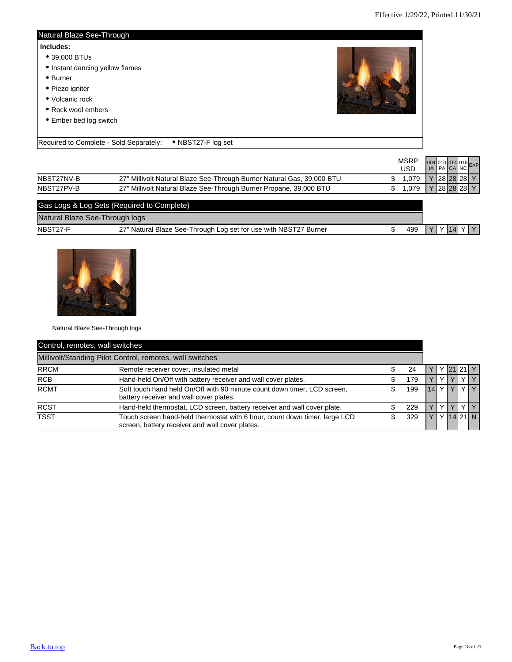<span id="page-17-0"></span>

| Natural Blaze See-Through                                                                                                                                       |                    |  |
|-----------------------------------------------------------------------------------------------------------------------------------------------------------------|--------------------|--|
| Includes:<br>• 39,000 BTUs<br>• Instant dancing yellow flames<br>• Burner<br>• Piezo igniter<br>• Volcanic rock<br>• Rock wool embers<br>• Ember bed log switch |                    |  |
| Required to Complete - Sold Separately:                                                                                                                         | • NBST27-F log set |  |

|            |                                                                        | <b>MSRP</b><br><b>USD</b> |           |  | 004 010 014 016 EXP |
|------------|------------------------------------------------------------------------|---------------------------|-----------|--|---------------------|
| NBST27NV-B | 27" Millivolt Natural Blaze See-Through Burner Natural Gas, 39,000 BTU | 1.079                     | $\vee$    |  | 1281281281 Y        |
| NBST27PV-B | 27" Millivolt Natural Blaze See-Through Burner Propane, 39,000 BTU     | 1.079                     | $\sqrt{}$ |  | 28 28 28 Y          |
|            | Gas Logs & Log Sets (Required to Complete)                             |                           |           |  |                     |

| Natural Blaze See-Through logs |                                                                  |     |              |        |  |  |
|--------------------------------|------------------------------------------------------------------|-----|--------------|--------|--|--|
| NBST27-F                       | 27" Natural Blaze See-Through Log set for use with NBST27 Burner | 499 | $\mathbf{v}$ | $Y$ 14 |  |  |



Natural Blaze See-Through logs

|             | Control, remotes, wall switches                                                                                               |     |         |              |    |               |
|-------------|-------------------------------------------------------------------------------------------------------------------------------|-----|---------|--------------|----|---------------|
|             | Millivolt/Standing Pilot Control, remotes, wall switches                                                                      |     |         |              |    |               |
| <b>RRCM</b> | Remote receiver cover, insulated metal                                                                                        | 24  |         | ∨            |    | 21 21 Y       |
| <b>RCB</b>  | Hand-held On/Off with battery receiver and wall cover plates.                                                                 | 179 |         | Y            |    | $\vee$ $\vee$ |
| <b>RCMT</b> | Soft touch hand held On/Off with 90 minute count down timer, LCD screen,<br>battery receiver and wall cover plates.           | 199 | $14V -$ |              | V. | <b>v</b> v    |
| <b>RCST</b> | Hand-held thermostat, LCD screen, battery receiver and wall cover plate.                                                      | 229 |         | ⅴ            |    |               |
| <b>TSST</b> | Touch screen hand-held thermostat with 6 hour, count down timer, large LCD<br>screen, battery receiver and wall cover plates. | 329 |         | $\checkmark$ |    | $14$  21 N    |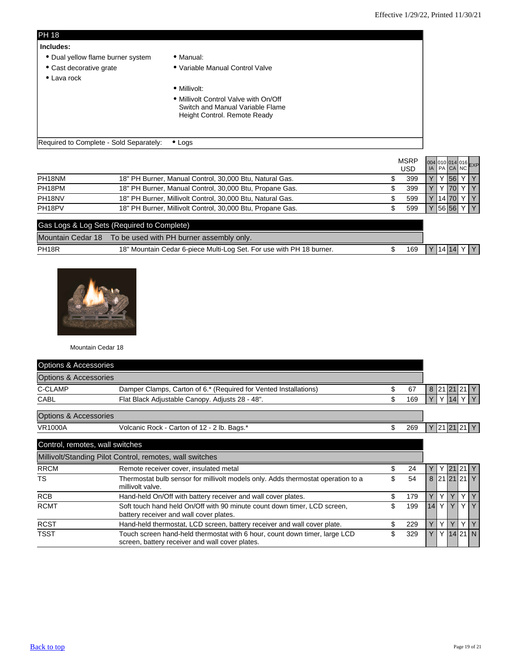$\blacksquare$ 

Ŧ.

<span id="page-18-0"></span>

| <b>PH 18</b>                            |                                                                                                           |  |
|-----------------------------------------|-----------------------------------------------------------------------------------------------------------|--|
| Includes:                               |                                                                                                           |  |
| • Dual yellow flame burner system       | $\bullet$ Manual:                                                                                         |  |
| • Cast decorative grate                 | • Variable Manual Control Valve                                                                           |  |
| • Lava rock                             |                                                                                                           |  |
|                                         | • Millivolt:                                                                                              |  |
|                                         | • Millivolt Control Valve with On/Off<br>Switch and Manual Variable Flame<br>Height Control. Remote Ready |  |
| Required to Complete - Sold Separately: | $\bullet$ Logs                                                                                            |  |

|        |                                                            | <b>MSRP</b> |  |        | 004 010 014 016 EXP |
|--------|------------------------------------------------------------|-------------|--|--------|---------------------|
|        |                                                            | <b>USD</b>  |  |        |                     |
| PH18NM | 18" PH Burner, Manual Control, 30,000 Btu, Natural Gas.    | 399         |  | 56     | V V                 |
| PH18PM | 18" PH Burner, Manual Control, 30,000 Btu, Propane Gas.    | 399         |  | 70     | <b>VV</b>           |
| PH18NV | 18" PH Burner, Millivolt Control, 30,000 Btu, Natural Gas. | 599         |  | 14 70  | <b>VV</b>           |
| PH18PV | 18" PH Burner, Millivolt Control, 30,000 Btu, Propane Gas. | 599         |  | 156 56 | V V                 |

|                   | Gas Logs & Log Sets (Required to Complete)                           |     |                   |
|-------------------|----------------------------------------------------------------------|-----|-------------------|
|                   | Mountain Cedar 18 To be used with PH burner assembly only.           |     |                   |
| PH <sub>18R</sub> | 18" Mountain Cedar 6-piece Multi-Log Set. For use with PH 18 burner. | 169 | $Y$ 14 14 $Y$ $Y$ |



Mountain Cedar 18

| <b>Options &amp; Accessories</b> |                                                                                                                               |           |    |   |         |   |                        |
|----------------------------------|-------------------------------------------------------------------------------------------------------------------------------|-----------|----|---|---------|---|------------------------|
| <b>Options &amp; Accessories</b> |                                                                                                                               |           |    |   |         |   |                        |
| C-CLAMP                          | Damper Clamps, Carton of 6.* (Required for Vented Installations)                                                              | \$<br>67  |    |   |         |   | $8$   21   21   21   Y |
| CABL                             | Flat Black Adjustable Canopy. Adjusts 28 - 48".                                                                               | \$<br>169 |    |   | $Y$ 14  |   |                        |
| <b>Options &amp; Accessories</b> |                                                                                                                               |           |    |   |         |   |                        |
| <b>VR1000A</b>                   | Volcanic Rock - Carton of 12 - 2 lb. Bags.*                                                                                   | \$<br>269 |    |   | Y 21 21 |   |                        |
| Control, remotes, wall switches  |                                                                                                                               |           |    |   |         |   |                        |
|                                  | Millivolt/Standing Pilot Control, remotes, wall switches                                                                      |           |    |   |         |   |                        |
| <b>RRCM</b>                      | Remote receiver cover, insulated metal                                                                                        | \$<br>24  | Y  |   | 21 21 Y |   |                        |
| <b>TS</b>                        | Thermostat bulb sensor for millivolt models only. Adds thermostat operation to a<br>millivolt valve.                          | \$<br>54  |    |   |         |   | 8 21 21 21 Y           |
| <b>RCB</b>                       | Hand-held On/Off with battery receiver and wall cover plates.                                                                 | \$<br>179 | Y  | Y | Y       | Y | Y                      |
| <b>RCMT</b>                      | Soft touch hand held On/Off with 90 minute count down timer, LCD screen,<br>battery receiver and wall cover plates.           | \$<br>199 | 14 | Y | Y       |   | YY                     |
| <b>RCST</b>                      | Hand-held thermostat, LCD screen, battery receiver and wall cover plate.                                                      | \$<br>229 | Y  | Υ |         | Υ | Y                      |
| TSST                             | Touch screen hand-held thermostat with 6 hour, count down timer, large LCD<br>screen, battery receiver and wall cover plates. | \$<br>329 | Y  | Y |         |   | $14$ 21 N              |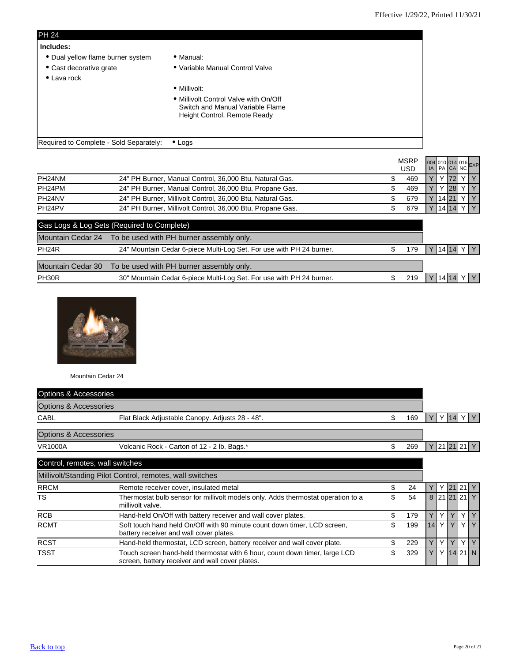<span id="page-19-0"></span>

| PH 24                                   |                                                                                                           |
|-----------------------------------------|-----------------------------------------------------------------------------------------------------------|
| Includes:                               |                                                                                                           |
| • Dual yellow flame burner system       | • Manual:                                                                                                 |
| • Cast decorative grate                 | • Variable Manual Control Valve                                                                           |
| • Lava rock                             |                                                                                                           |
|                                         | • Millivolt:                                                                                              |
|                                         | • Millivolt Control Valve with On/Off<br>Switch and Manual Variable Flame<br>Height Control. Remote Ready |
| Required to Complete - Sold Separately: | $\bullet$ Logs                                                                                            |
|                                         |                                                                                                           |

|                     |                                                            | <b>MSRP</b><br><b>USD</b> | 004 010 014 016 EXP |                |            |
|---------------------|------------------------------------------------------------|---------------------------|---------------------|----------------|------------|
| PH <sub>24</sub> NM | 24" PH Burner, Manual Control, 36,000 Btu, Natural Gas.    | 469                       |                     | $Y$ 72 $Y$ $Y$ |            |
| PH <sub>24</sub> PM | 24" PH Burner, Manual Control, 36,000 Btu, Propane Gas.    | 469                       |                     | 28 $Y$ $Y$     |            |
| PH <sub>24</sub> NV | 24" PH Burner, Millivolt Control, 36,000 Btu, Natural Gas. | 679                       |                     | 14 21          | <b>VIV</b> |
| PH <sub>24</sub> PV | 24" PH Burner, Millivolt Control, 36,000 Btu, Propane Gas. | 679                       |                     | 114 14 Y L     |            |
|                     | Gas Logs & Log Sets (Required to Complete)                 |                           |                     |                |            |
|                     | Mountain Cedar 24 To be used with PH burner assembly only. |                           |                     |                |            |

| PH <sub>24</sub> R | 24" Mountain Cedar 6-piece Multi-Log Set. For use with PH 24 burner. | 179 | Y 14 14<br>YY |
|--------------------|----------------------------------------------------------------------|-----|---------------|
|                    | Mountain Cedar 30 To be used with PH burner assembly only.           |     |               |
| PH30R              | 30" Mountain Cedar 6-piece Multi-Log Set. For use with PH 24 burner. | 219 | Y 14 14 Y Y   |



Mountain Cedar 24

| Options & Accessories           |                                                                                                                               |           |   |        |       |             |      |
|---------------------------------|-------------------------------------------------------------------------------------------------------------------------------|-----------|---|--------|-------|-------------|------|
| Options & Accessories           |                                                                                                                               |           |   |        |       |             |      |
| CABL                            | Flat Black Adjustable Canopy. Adjusts 28 - 48".                                                                               | \$<br>169 |   | Y      | 14    |             |      |
| Options & Accessories           |                                                                                                                               |           |   |        |       |             |      |
| <b>VR1000A</b>                  | Volcanic Rock - Carton of 12 - 2 lb. Bags.*                                                                                   | \$<br>269 |   | Y 121  | 21    | 21 I Y      |      |
| Control, remotes, wall switches |                                                                                                                               |           |   |        |       |             |      |
|                                 | Millivolt/Standing Pilot Control, remotes, wall switches                                                                      |           |   |        |       |             |      |
| <b>RRCM</b>                     | Remote receiver cover, insulated metal                                                                                        | \$<br>24  |   |        | 21    |             | 21 Y |
| TS                              | Thermostat bulb sensor for millivolt models only. Adds thermostat operation to a<br>millivolt valve.                          | \$<br>54  | 8 |        | 21 21 |             | 21 Y |
| <b>RCB</b>                      | Hand-held On/Off with battery receiver and wall cover plates.                                                                 | \$<br>179 |   | Y      |       | Υ           | Y    |
| <b>RCMT</b>                     | Soft touch hand held On/Off with 90 minute count down timer, LCD screen,<br>battery receiver and wall cover plates.           | \$<br>199 |   | $14$ Y |       | Y           | Y    |
| <b>RCST</b>                     | Hand-held thermostat, LCD screen, battery receiver and wall cover plate.                                                      | \$<br>229 | Y | Y      |       | Υ           | Y    |
| TSST                            | Touch screen hand-held thermostat with 6 hour, count down timer, large LCD<br>screen, battery receiver and wall cover plates. | \$<br>329 | Y |        |       | $Y$ 14 21 N |      |